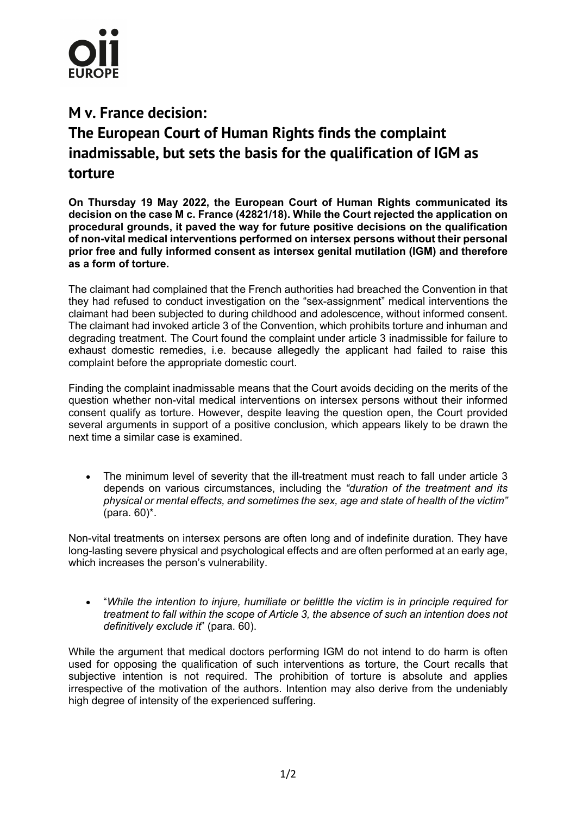

## **M v. France decision:**

## **The European Court of Human Rights finds the complaint inadmissable, but sets the basis for the qualification of IGM as torture**

**On Thursday 19 May 2022, the European Court of Human Rights communicated its decision on the case M c. France (42821/18). While the Court rejected the application on procedural grounds, it paved the way for future positive decisions on the qualification of non-vital medical interventions performed on intersex persons without their personal prior free and fully informed consent as intersex genital mutilation (IGM) and therefore as a form of torture.**

The claimant had complained that the French authorities had breached the Convention in that they had refused to conduct investigation on the "sex-assignment" medical interventions the claimant had been subjected to during childhood and adolescence, without informed consent. The claimant had invoked article 3 of the Convention, which prohibits torture and inhuman and degrading treatment. The Court found the complaint under article 3 inadmissible for failure to exhaust domestic remedies, i.e. because allegedly the applicant had failed to raise this complaint before the appropriate domestic court.

Finding the complaint inadmissable means that the Court avoids deciding on the merits of the question whether non-vital medical interventions on intersex persons without their informed consent qualify as torture. However, despite leaving the question open, the Court provided several arguments in support of a positive conclusion, which appears likely to be drawn the next time a similar case is examined.

• The minimum level of severity that the ill-treatment must reach to fall under article 3 depends on various circumstances, including the *"duration of the treatment and its physical or mental effects, and sometimes the sex, age and state of health of the victim"* (para. 60)\*.

Non-vital treatments on intersex persons are often long and of indefinite duration. They have long-lasting severe physical and psychological effects and are often performed at an early age, which increases the person's vulnerability.

• "*While the intention to injure, humiliate or belittle the victim is in principle required for treatment to fall within the scope of Article 3, the absence of such an intention does not definitively exclude it*" (para. 60).

While the argument that medical doctors performing IGM do not intend to do harm is often used for opposing the qualification of such interventions as torture, the Court recalls that subjective intention is not required. The prohibition of torture is absolute and applies irrespective of the motivation of the authors. Intention may also derive from the undeniably high degree of intensity of the experienced suffering.